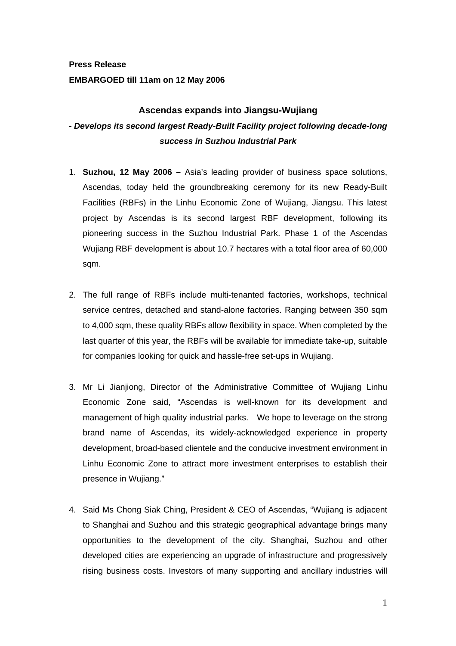## **Press Release EMBARGOED till 11am on 12 May 2006**

## **Ascendas expands into Jiangsu-Wujiang**

# *- Develops its second largest Ready-Built Facility project following decade-long success in Suzhou Industrial Park*

- 1. **Suzhou, 12 May 2006 –** Asia's leading provider of business space solutions, Ascendas, today held the groundbreaking ceremony for its new Ready-Built Facilities (RBFs) in the Linhu Economic Zone of Wujiang, Jiangsu. This latest project by Ascendas is its second largest RBF development, following its pioneering success in the Suzhou Industrial Park. Phase 1 of the Ascendas Wujiang RBF development is about 10.7 hectares with a total floor area of 60,000 sqm.
- 2. The full range of RBFs include multi-tenanted factories, workshops, technical service centres, detached and stand-alone factories. Ranging between 350 sqm to 4,000 sqm, these quality RBFs allow flexibility in space. When completed by the last quarter of this year, the RBFs will be available for immediate take-up, suitable for companies looking for quick and hassle-free set-ups in Wujiang.
- 3. Mr Li Jianjiong, Director of the Administrative Committee of Wujiang Linhu Economic Zone said, "Ascendas is well-known for its development and management of high quality industrial parks. We hope to leverage on the strong brand name of Ascendas, its widely-acknowledged experience in property development, broad-based clientele and the conducive investment environment in Linhu Economic Zone to attract more investment enterprises to establish their presence in Wujiang."
- 4. Said Ms Chong Siak Ching, President & CEO of Ascendas, "Wujiang is adjacent to Shanghai and Suzhou and this strategic geographical advantage brings many opportunities to the development of the city. Shanghai, Suzhou and other developed cities are experiencing an upgrade of infrastructure and progressively rising business costs. Investors of many supporting and ancillary industries will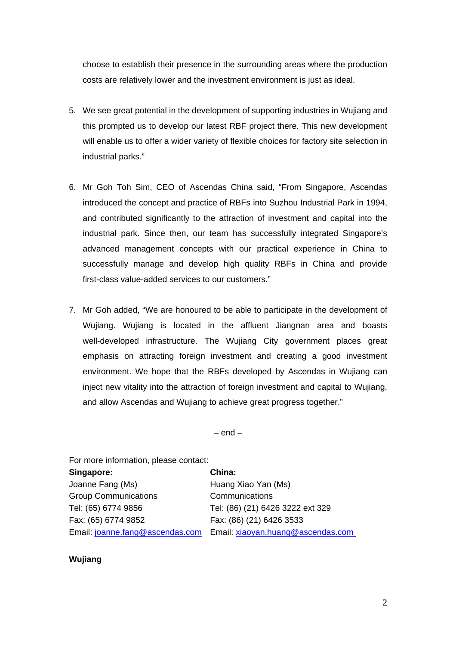choose to establish their presence in the surrounding areas where the production costs are relatively lower and the investment environment is just as ideal.

- 5. We see great potential in the development of supporting industries in Wujiang and this prompted us to develop our latest RBF project there. This new development will enable us to offer a wider variety of flexible choices for factory site selection in industrial parks."
- 6. Mr Goh Toh Sim, CEO of Ascendas China said, "From Singapore, Ascendas introduced the concept and practice of RBFs into Suzhou Industrial Park in 1994, and contributed significantly to the attraction of investment and capital into the industrial park. Since then, our team has successfully integrated Singapore's advanced management concepts with our practical experience in China to successfully manage and develop high quality RBFs in China and provide first-class value-added services to our customers."
- 7. Mr Goh added, "We are honoured to be able to participate in the development of Wujiang. Wujiang is located in the affluent Jiangnan area and boasts well-developed infrastructure. The Wujiang City government places great emphasis on attracting foreign investment and creating a good investment environment. We hope that the RBFs developed by Ascendas in Wujiang can inject new vitality into the attraction of foreign investment and capital to Wujiang, and allow Ascendas and Wujiang to achieve great progress together."

 $-$  end  $-$ 

For more information, please contact:

| Singapore:                      | China:                            |
|---------------------------------|-----------------------------------|
| Joanne Fang (Ms)                | Huang Xiao Yan (Ms)               |
| <b>Group Communications</b>     | Communications                    |
| Tel: (65) 6774 9856             | Tel: (86) (21) 6426 3222 ext 329  |
| Fax: (65) 6774 9852             | Fax: (86) (21) 6426 3533          |
| Email: joanne.fang@ascendas.com | Email: xiaoyan.huang@ascendas.com |

## **Wujiang**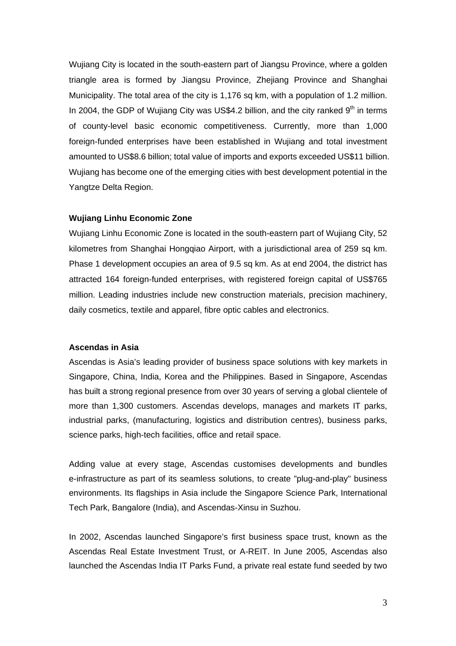Wujiang City is located in the south-eastern part of Jiangsu Province, where a golden triangle area is formed by Jiangsu Province, Zhejiang Province and Shanghai Municipality. The total area of the city is 1,176 sq km, with a population of 1.2 million. In 2004, the GDP of Wujiang City was US\$4.2 billion, and the city ranked  $9<sup>th</sup>$  in terms of county-level basic economic competitiveness. Currently, more than 1,000 foreign-funded enterprises have been established in Wujiang and total investment amounted to US\$8.6 billion; total value of imports and exports exceeded US\$11 billion. Wujiang has become one of the emerging cities with best development potential in the Yangtze Delta Region.

#### **Wujiang Linhu Economic Zone**

Wujiang Linhu Economic Zone is located in the south-eastern part of Wujiang City, 52 kilometres from Shanghai Hongqiao Airport, with a jurisdictional area of 259 sq km. Phase 1 development occupies an area of 9.5 sq km. As at end 2004, the district has attracted 164 foreign-funded enterprises, with registered foreign capital of US\$765 million. Leading industries include new construction materials, precision machinery, daily cosmetics, textile and apparel, fibre optic cables and electronics.

#### **Ascendas in Asia**

Ascendas is Asia's leading provider of business space solutions with key markets in Singapore, China, India, Korea and the Philippines. Based in Singapore, Ascendas has built a strong regional presence from over 30 years of serving a global clientele of more than 1,300 customers. Ascendas develops, manages and markets IT parks, industrial parks, (manufacturing, logistics and distribution centres), business parks, science parks, high-tech facilities, office and retail space.

Adding value at every stage, Ascendas customises developments and bundles e-infrastructure as part of its seamless solutions, to create "plug-and-play" business environments. Its flagships in Asia include the Singapore Science Park, International Tech Park, Bangalore (India), and Ascendas-Xinsu in Suzhou.

In 2002, Ascendas launched Singapore's first business space trust, known as the Ascendas Real Estate Investment Trust, or A-REIT. In June 2005, Ascendas also launched the Ascendas India IT Parks Fund, a private real estate fund seeded by two